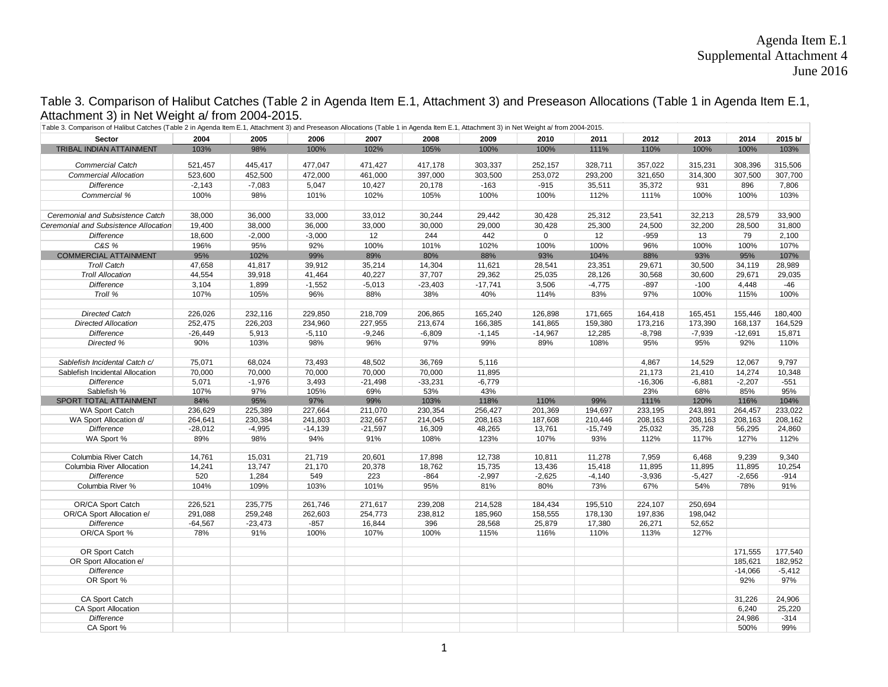## Agenda Item E.1 Supplemental Attachment 4 June 2016

Table 3. Comparison of Halibut Catches (Table 2 in Agenda Item E.1, Attachment 3) and Preseason Allocations (Table 1 in Agenda Item E.1, Attachment 3) in Net Weight a/ from 2004-2015.

| 2015 b/<br>2004<br>2005<br>2006<br>2007<br>2009<br>2011<br>2012<br>2013<br>2014<br><b>Sector</b><br>2008<br>2010<br>103%<br>98%<br>100%<br>102%<br>100%<br>100%<br>111%<br>110%<br>100%<br>100%<br>103%<br>TRIBAL INDIAN ATTAINMENT<br>105%<br>521,457<br>445,417<br>477,047<br>417,178<br>303,337<br>252,157<br>357,022<br><b>Commercial Catch</b><br>471,427<br>328,711<br>315,231<br>308,396<br>315,506<br><b>Commercial Allocation</b><br>523,600<br>452,500<br>472,000<br>461,000<br>397,000<br>303,500<br>253,072<br>293,200<br>321,650<br>314,300<br>307,500<br>307,700<br>$-2,143$<br>$-7,083$<br>5,047<br>$-163$<br>$-915$<br>35,372<br>931<br>896<br>7,806<br><b>Difference</b><br>10,427<br>20,178<br>35,511<br>Commercial %<br>100%<br>98%<br>101%<br>105%<br>100%<br>112%<br>100%<br>100%<br>103%<br>102%<br>100%<br>111%<br>Ceremonial and Subsistence Catch<br>36,000<br>33,000<br>33,012<br>29,442<br>28,579<br>33,900<br>38,000<br>30,244<br>30,428<br>25,312<br>23,541<br>32,213<br>19,400<br>38,000<br>36,000<br>33,000<br>30,000<br>29,000<br>30,428<br>25,300<br>24,500<br>32,200<br>Ceremonial and Subsistence Allocation<br>28,500<br>31,800<br>$\mathbf 0$<br><b>Difference</b><br>18,600<br>$-2,000$<br>$-3,000$<br>12<br>244<br>442<br>12<br>$-959$<br>13<br>79<br>2,100<br>C&S %<br>95%<br>92%<br>100%<br>96%<br>100%<br>196%<br>100%<br>101%<br>102%<br>100%<br>100%<br>107%<br>COMMERCIAL ATTAINMENT<br>95%<br>102%<br>99%<br>89%<br>80%<br>88%<br>93%<br>104%<br>88%<br>93%<br>95%<br>107%<br><b>Troll Catch</b><br>47,658<br>41,817<br>39,912<br>35,214<br>14,304<br>11,621<br>28,541<br>23,351<br>29,671<br>30,500<br>34,119<br>28,989<br><b>Troll Allocation</b><br>44,554<br>39,918<br>41,464<br>40,227<br>37,707<br>29,362<br>25,035<br>28,126<br>30,568<br>30,600<br>29,671<br>29,035<br>3,104<br>1,899<br>$-1,552$<br>$-17,741$<br>3,506<br>$-4,775$<br>$-897$<br>$-100$<br>$-46$<br><b>Difference</b><br>$-5,013$<br>$-23,403$<br>4,448<br>Troll %<br>107%<br>105%<br>96%<br>88%<br>38%<br>40%<br>114%<br>83%<br>97%<br>100%<br>115%<br>100%<br><b>Directed Catch</b><br>226,026<br>232,116<br>165,240<br>155,446<br>180,400<br>229,850<br>218,709<br>206,865<br>126,898<br>171,665<br>164,418<br>165,451<br><b>Directed Allocation</b><br>252,475<br>226,203<br>234,960<br>227,955<br>213,674<br>166,385<br>141,865<br>159,380<br>173,216<br>173,390<br>168,137<br>164,529<br>$-8,798$<br>$-7,939$<br><b>Difference</b><br>$-26,449$<br>5,913<br>$-5,110$<br>$-9,246$<br>$-6,809$<br>$-1,145$<br>$-14,967$<br>12,285<br>$-12,691$<br>15,871<br>90%<br>103%<br>98%<br>96%<br>97%<br>99%<br>89%<br>95%<br>95%<br>92%<br>Directed %<br>108%<br>110%<br>9,797<br>Sablefish Incidental Catch c/<br>75,071<br>68,024<br>73,493<br>48,502<br>36,769<br>5,116<br>4,867<br>14,529<br>12,067<br>70,000<br>70,000<br>70,000<br>70,000<br>70,000<br>11,895<br>21,173<br>21,410<br>14,274<br>Sablefish Incidental Allocation<br>10,348<br>5,071<br>$-1,976$<br>3,493<br>$-21,498$<br>$-33,231$<br>$-6,779$<br>$-16,306$<br>$-6,881$<br>$-2,207$<br>$-551$<br><b>Difference</b><br>97%<br>43%<br>23%<br>Sablefish %<br>107%<br>105%<br>69%<br>53%<br>68%<br>85%<br>95%<br>SPORT TOTAL ATTAINMENT<br>84%<br>95%<br>99%<br>103%<br>110%<br>99%<br>111%<br>120%<br>97%<br>118%<br>116%<br>104%<br>WA Sport Catch<br>236,629<br>225,389<br>227,664<br>230,354<br>256,427<br>201,369<br>194,697<br>233,195<br>243,891<br>264,457<br>233,022<br>211,070<br>WA Sport Allocation d/<br>264,641<br>230,384<br>241,803<br>232,667<br>208,163<br>187,608<br>208,163<br>208,163<br>208,163<br>208,162<br>214,045<br>210,446<br>$-4,995$<br><b>Difference</b><br>$-28,012$<br>$-14,139$<br>$-21,597$<br>16,309<br>48,265<br>13,761<br>$-15,749$<br>25,032<br>35,728<br>56,295<br>24,860<br>89%<br>98%<br>94%<br>91%<br>108%<br>123%<br>107%<br>93%<br>112%<br>WA Sport %<br>117%<br>127%<br>112%<br>9,239<br>9,340<br>Columbia River Catch<br>14,761<br>15,031<br>21,719<br>20,601<br>17,898<br>12,738<br>10,811<br>11,278<br>7,959<br>6,468<br>14,241<br>13,747<br>21,170<br>20,378<br>18,762<br>15,735<br>13,436<br>15,418<br>11,895<br>10,254<br>Columbia River Allocation<br>11,895<br>11,895<br><b>Difference</b><br>520<br>1,284<br>549<br>223<br>$-864$<br>$-2,997$<br>$-2,625$<br>$-4,140$<br>$-3,936$<br>$-5,427$<br>$-2,656$<br>$-914$<br>Columbia River %<br>104%<br>109%<br>103%<br>95%<br>81%<br>80%<br>73%<br>67%<br>54%<br>91%<br>101%<br>78%<br>OR/CA Sport Catch<br>226,521<br>235,775<br>271,617<br>239,208<br>214,528<br>184,434<br>195,510<br>250,694<br>261,746<br>224,107<br>OR/CA Sport Allocation e/<br>291,088<br>259,248<br>262,603<br>254,773<br>238,812<br>185,960<br>158,555<br>178,130<br>197,836<br>198,042<br><b>Difference</b><br>$-23,473$<br>396<br>25,879<br>52,652<br>$-64,567$<br>$-857$<br>16,844<br>28,568<br>17,380<br>26,271<br>91%<br>OR/CA Sport %<br>78%<br>100%<br>107%<br>100%<br>115%<br>116%<br>110%<br>113%<br>127%<br>OR Sport Catch<br>171,555<br>177,540<br>OR Sport Allocation e/<br>185,621<br>182,952<br><b>Difference</b><br>$-14,066$<br>$-5,412$<br>OR Sport %<br>92%<br>97%<br>CA Sport Catch<br>31,226<br>24,906<br><b>CA Sport Allocation</b><br>6,240<br>25,220<br><b>Difference</b><br>24,986<br>$-314$<br>CA Sport %<br>500%<br>99% | Table 3. Comparison of Halibut Catches (Table 2 in Agenda Item E.1, Attachment 3) and Preseason Allocations (Table 1 in Agenda Item E.1, Attachment 3) in Net Weight a/ from 2004-2015. |  |  |  |  |  |  |  |  |  |  |  |  |
|------------------------------------------------------------------------------------------------------------------------------------------------------------------------------------------------------------------------------------------------------------------------------------------------------------------------------------------------------------------------------------------------------------------------------------------------------------------------------------------------------------------------------------------------------------------------------------------------------------------------------------------------------------------------------------------------------------------------------------------------------------------------------------------------------------------------------------------------------------------------------------------------------------------------------------------------------------------------------------------------------------------------------------------------------------------------------------------------------------------------------------------------------------------------------------------------------------------------------------------------------------------------------------------------------------------------------------------------------------------------------------------------------------------------------------------------------------------------------------------------------------------------------------------------------------------------------------------------------------------------------------------------------------------------------------------------------------------------------------------------------------------------------------------------------------------------------------------------------------------------------------------------------------------------------------------------------------------------------------------------------------------------------------------------------------------------------------------------------------------------------------------------------------------------------------------------------------------------------------------------------------------------------------------------------------------------------------------------------------------------------------------------------------------------------------------------------------------------------------------------------------------------------------------------------------------------------------------------------------------------------------------------------------------------------------------------------------------------------------------------------------------------------------------------------------------------------------------------------------------------------------------------------------------------------------------------------------------------------------------------------------------------------------------------------------------------------------------------------------------------------------------------------------------------------------------------------------------------------------------------------------------------------------------------------------------------------------------------------------------------------------------------------------------------------------------------------------------------------------------------------------------------------------------------------------------------------------------------------------------------------------------------------------------------------------------------------------------------------------------------------------------------------------------------------------------------------------------------------------------------------------------------------------------------------------------------------------------------------------------------------------------------------------------------------------------------------------------------------------------------------------------------------------------------------------------------------------------------------------------------------------------------------------------------------------------------------------------------------------------------------------------------------------------------------------------------------------------------------------------------------------------------------------------------------------------------------------------------------------------------------------------------------------------------------------------------------------------------------------------------------------------------------------------------------------------------------------------------------------------------------------------------------------------------------------------------------------------------------------------------------------------------------------------------------------------------------------------------------------------------------------------------------------------------------------------------------------------------------------------------------------------------------------------------------------------|-----------------------------------------------------------------------------------------------------------------------------------------------------------------------------------------|--|--|--|--|--|--|--|--|--|--|--|--|
|                                                                                                                                                                                                                                                                                                                                                                                                                                                                                                                                                                                                                                                                                                                                                                                                                                                                                                                                                                                                                                                                                                                                                                                                                                                                                                                                                                                                                                                                                                                                                                                                                                                                                                                                                                                                                                                                                                                                                                                                                                                                                                                                                                                                                                                                                                                                                                                                                                                                                                                                                                                                                                                                                                                                                                                                                                                                                                                                                                                                                                                                                                                                                                                                                                                                                                                                                                                                                                                                                                                                                                                                                                                                                                                                                                                                                                                                                                                                                                                                                                                                                                                                                                                                                                                                                                                                                                                                                                                                                                                                                                                                                                                                                                                                                                                                                                                                                                                                                                                                                                                                                                                                                                                                                                                                                                                  |                                                                                                                                                                                         |  |  |  |  |  |  |  |  |  |  |  |  |
|                                                                                                                                                                                                                                                                                                                                                                                                                                                                                                                                                                                                                                                                                                                                                                                                                                                                                                                                                                                                                                                                                                                                                                                                                                                                                                                                                                                                                                                                                                                                                                                                                                                                                                                                                                                                                                                                                                                                                                                                                                                                                                                                                                                                                                                                                                                                                                                                                                                                                                                                                                                                                                                                                                                                                                                                                                                                                                                                                                                                                                                                                                                                                                                                                                                                                                                                                                                                                                                                                                                                                                                                                                                                                                                                                                                                                                                                                                                                                                                                                                                                                                                                                                                                                                                                                                                                                                                                                                                                                                                                                                                                                                                                                                                                                                                                                                                                                                                                                                                                                                                                                                                                                                                                                                                                                                                  |                                                                                                                                                                                         |  |  |  |  |  |  |  |  |  |  |  |  |
|                                                                                                                                                                                                                                                                                                                                                                                                                                                                                                                                                                                                                                                                                                                                                                                                                                                                                                                                                                                                                                                                                                                                                                                                                                                                                                                                                                                                                                                                                                                                                                                                                                                                                                                                                                                                                                                                                                                                                                                                                                                                                                                                                                                                                                                                                                                                                                                                                                                                                                                                                                                                                                                                                                                                                                                                                                                                                                                                                                                                                                                                                                                                                                                                                                                                                                                                                                                                                                                                                                                                                                                                                                                                                                                                                                                                                                                                                                                                                                                                                                                                                                                                                                                                                                                                                                                                                                                                                                                                                                                                                                                                                                                                                                                                                                                                                                                                                                                                                                                                                                                                                                                                                                                                                                                                                                                  |                                                                                                                                                                                         |  |  |  |  |  |  |  |  |  |  |  |  |
|                                                                                                                                                                                                                                                                                                                                                                                                                                                                                                                                                                                                                                                                                                                                                                                                                                                                                                                                                                                                                                                                                                                                                                                                                                                                                                                                                                                                                                                                                                                                                                                                                                                                                                                                                                                                                                                                                                                                                                                                                                                                                                                                                                                                                                                                                                                                                                                                                                                                                                                                                                                                                                                                                                                                                                                                                                                                                                                                                                                                                                                                                                                                                                                                                                                                                                                                                                                                                                                                                                                                                                                                                                                                                                                                                                                                                                                                                                                                                                                                                                                                                                                                                                                                                                                                                                                                                                                                                                                                                                                                                                                                                                                                                                                                                                                                                                                                                                                                                                                                                                                                                                                                                                                                                                                                                                                  |                                                                                                                                                                                         |  |  |  |  |  |  |  |  |  |  |  |  |
|                                                                                                                                                                                                                                                                                                                                                                                                                                                                                                                                                                                                                                                                                                                                                                                                                                                                                                                                                                                                                                                                                                                                                                                                                                                                                                                                                                                                                                                                                                                                                                                                                                                                                                                                                                                                                                                                                                                                                                                                                                                                                                                                                                                                                                                                                                                                                                                                                                                                                                                                                                                                                                                                                                                                                                                                                                                                                                                                                                                                                                                                                                                                                                                                                                                                                                                                                                                                                                                                                                                                                                                                                                                                                                                                                                                                                                                                                                                                                                                                                                                                                                                                                                                                                                                                                                                                                                                                                                                                                                                                                                                                                                                                                                                                                                                                                                                                                                                                                                                                                                                                                                                                                                                                                                                                                                                  |                                                                                                                                                                                         |  |  |  |  |  |  |  |  |  |  |  |  |
|                                                                                                                                                                                                                                                                                                                                                                                                                                                                                                                                                                                                                                                                                                                                                                                                                                                                                                                                                                                                                                                                                                                                                                                                                                                                                                                                                                                                                                                                                                                                                                                                                                                                                                                                                                                                                                                                                                                                                                                                                                                                                                                                                                                                                                                                                                                                                                                                                                                                                                                                                                                                                                                                                                                                                                                                                                                                                                                                                                                                                                                                                                                                                                                                                                                                                                                                                                                                                                                                                                                                                                                                                                                                                                                                                                                                                                                                                                                                                                                                                                                                                                                                                                                                                                                                                                                                                                                                                                                                                                                                                                                                                                                                                                                                                                                                                                                                                                                                                                                                                                                                                                                                                                                                                                                                                                                  |                                                                                                                                                                                         |  |  |  |  |  |  |  |  |  |  |  |  |
|                                                                                                                                                                                                                                                                                                                                                                                                                                                                                                                                                                                                                                                                                                                                                                                                                                                                                                                                                                                                                                                                                                                                                                                                                                                                                                                                                                                                                                                                                                                                                                                                                                                                                                                                                                                                                                                                                                                                                                                                                                                                                                                                                                                                                                                                                                                                                                                                                                                                                                                                                                                                                                                                                                                                                                                                                                                                                                                                                                                                                                                                                                                                                                                                                                                                                                                                                                                                                                                                                                                                                                                                                                                                                                                                                                                                                                                                                                                                                                                                                                                                                                                                                                                                                                                                                                                                                                                                                                                                                                                                                                                                                                                                                                                                                                                                                                                                                                                                                                                                                                                                                                                                                                                                                                                                                                                  |                                                                                                                                                                                         |  |  |  |  |  |  |  |  |  |  |  |  |
|                                                                                                                                                                                                                                                                                                                                                                                                                                                                                                                                                                                                                                                                                                                                                                                                                                                                                                                                                                                                                                                                                                                                                                                                                                                                                                                                                                                                                                                                                                                                                                                                                                                                                                                                                                                                                                                                                                                                                                                                                                                                                                                                                                                                                                                                                                                                                                                                                                                                                                                                                                                                                                                                                                                                                                                                                                                                                                                                                                                                                                                                                                                                                                                                                                                                                                                                                                                                                                                                                                                                                                                                                                                                                                                                                                                                                                                                                                                                                                                                                                                                                                                                                                                                                                                                                                                                                                                                                                                                                                                                                                                                                                                                                                                                                                                                                                                                                                                                                                                                                                                                                                                                                                                                                                                                                                                  |                                                                                                                                                                                         |  |  |  |  |  |  |  |  |  |  |  |  |
|                                                                                                                                                                                                                                                                                                                                                                                                                                                                                                                                                                                                                                                                                                                                                                                                                                                                                                                                                                                                                                                                                                                                                                                                                                                                                                                                                                                                                                                                                                                                                                                                                                                                                                                                                                                                                                                                                                                                                                                                                                                                                                                                                                                                                                                                                                                                                                                                                                                                                                                                                                                                                                                                                                                                                                                                                                                                                                                                                                                                                                                                                                                                                                                                                                                                                                                                                                                                                                                                                                                                                                                                                                                                                                                                                                                                                                                                                                                                                                                                                                                                                                                                                                                                                                                                                                                                                                                                                                                                                                                                                                                                                                                                                                                                                                                                                                                                                                                                                                                                                                                                                                                                                                                                                                                                                                                  |                                                                                                                                                                                         |  |  |  |  |  |  |  |  |  |  |  |  |
|                                                                                                                                                                                                                                                                                                                                                                                                                                                                                                                                                                                                                                                                                                                                                                                                                                                                                                                                                                                                                                                                                                                                                                                                                                                                                                                                                                                                                                                                                                                                                                                                                                                                                                                                                                                                                                                                                                                                                                                                                                                                                                                                                                                                                                                                                                                                                                                                                                                                                                                                                                                                                                                                                                                                                                                                                                                                                                                                                                                                                                                                                                                                                                                                                                                                                                                                                                                                                                                                                                                                                                                                                                                                                                                                                                                                                                                                                                                                                                                                                                                                                                                                                                                                                                                                                                                                                                                                                                                                                                                                                                                                                                                                                                                                                                                                                                                                                                                                                                                                                                                                                                                                                                                                                                                                                                                  |                                                                                                                                                                                         |  |  |  |  |  |  |  |  |  |  |  |  |
|                                                                                                                                                                                                                                                                                                                                                                                                                                                                                                                                                                                                                                                                                                                                                                                                                                                                                                                                                                                                                                                                                                                                                                                                                                                                                                                                                                                                                                                                                                                                                                                                                                                                                                                                                                                                                                                                                                                                                                                                                                                                                                                                                                                                                                                                                                                                                                                                                                                                                                                                                                                                                                                                                                                                                                                                                                                                                                                                                                                                                                                                                                                                                                                                                                                                                                                                                                                                                                                                                                                                                                                                                                                                                                                                                                                                                                                                                                                                                                                                                                                                                                                                                                                                                                                                                                                                                                                                                                                                                                                                                                                                                                                                                                                                                                                                                                                                                                                                                                                                                                                                                                                                                                                                                                                                                                                  |                                                                                                                                                                                         |  |  |  |  |  |  |  |  |  |  |  |  |
|                                                                                                                                                                                                                                                                                                                                                                                                                                                                                                                                                                                                                                                                                                                                                                                                                                                                                                                                                                                                                                                                                                                                                                                                                                                                                                                                                                                                                                                                                                                                                                                                                                                                                                                                                                                                                                                                                                                                                                                                                                                                                                                                                                                                                                                                                                                                                                                                                                                                                                                                                                                                                                                                                                                                                                                                                                                                                                                                                                                                                                                                                                                                                                                                                                                                                                                                                                                                                                                                                                                                                                                                                                                                                                                                                                                                                                                                                                                                                                                                                                                                                                                                                                                                                                                                                                                                                                                                                                                                                                                                                                                                                                                                                                                                                                                                                                                                                                                                                                                                                                                                                                                                                                                                                                                                                                                  |                                                                                                                                                                                         |  |  |  |  |  |  |  |  |  |  |  |  |
|                                                                                                                                                                                                                                                                                                                                                                                                                                                                                                                                                                                                                                                                                                                                                                                                                                                                                                                                                                                                                                                                                                                                                                                                                                                                                                                                                                                                                                                                                                                                                                                                                                                                                                                                                                                                                                                                                                                                                                                                                                                                                                                                                                                                                                                                                                                                                                                                                                                                                                                                                                                                                                                                                                                                                                                                                                                                                                                                                                                                                                                                                                                                                                                                                                                                                                                                                                                                                                                                                                                                                                                                                                                                                                                                                                                                                                                                                                                                                                                                                                                                                                                                                                                                                                                                                                                                                                                                                                                                                                                                                                                                                                                                                                                                                                                                                                                                                                                                                                                                                                                                                                                                                                                                                                                                                                                  |                                                                                                                                                                                         |  |  |  |  |  |  |  |  |  |  |  |  |
|                                                                                                                                                                                                                                                                                                                                                                                                                                                                                                                                                                                                                                                                                                                                                                                                                                                                                                                                                                                                                                                                                                                                                                                                                                                                                                                                                                                                                                                                                                                                                                                                                                                                                                                                                                                                                                                                                                                                                                                                                                                                                                                                                                                                                                                                                                                                                                                                                                                                                                                                                                                                                                                                                                                                                                                                                                                                                                                                                                                                                                                                                                                                                                                                                                                                                                                                                                                                                                                                                                                                                                                                                                                                                                                                                                                                                                                                                                                                                                                                                                                                                                                                                                                                                                                                                                                                                                                                                                                                                                                                                                                                                                                                                                                                                                                                                                                                                                                                                                                                                                                                                                                                                                                                                                                                                                                  |                                                                                                                                                                                         |  |  |  |  |  |  |  |  |  |  |  |  |
|                                                                                                                                                                                                                                                                                                                                                                                                                                                                                                                                                                                                                                                                                                                                                                                                                                                                                                                                                                                                                                                                                                                                                                                                                                                                                                                                                                                                                                                                                                                                                                                                                                                                                                                                                                                                                                                                                                                                                                                                                                                                                                                                                                                                                                                                                                                                                                                                                                                                                                                                                                                                                                                                                                                                                                                                                                                                                                                                                                                                                                                                                                                                                                                                                                                                                                                                                                                                                                                                                                                                                                                                                                                                                                                                                                                                                                                                                                                                                                                                                                                                                                                                                                                                                                                                                                                                                                                                                                                                                                                                                                                                                                                                                                                                                                                                                                                                                                                                                                                                                                                                                                                                                                                                                                                                                                                  |                                                                                                                                                                                         |  |  |  |  |  |  |  |  |  |  |  |  |
|                                                                                                                                                                                                                                                                                                                                                                                                                                                                                                                                                                                                                                                                                                                                                                                                                                                                                                                                                                                                                                                                                                                                                                                                                                                                                                                                                                                                                                                                                                                                                                                                                                                                                                                                                                                                                                                                                                                                                                                                                                                                                                                                                                                                                                                                                                                                                                                                                                                                                                                                                                                                                                                                                                                                                                                                                                                                                                                                                                                                                                                                                                                                                                                                                                                                                                                                                                                                                                                                                                                                                                                                                                                                                                                                                                                                                                                                                                                                                                                                                                                                                                                                                                                                                                                                                                                                                                                                                                                                                                                                                                                                                                                                                                                                                                                                                                                                                                                                                                                                                                                                                                                                                                                                                                                                                                                  |                                                                                                                                                                                         |  |  |  |  |  |  |  |  |  |  |  |  |
|                                                                                                                                                                                                                                                                                                                                                                                                                                                                                                                                                                                                                                                                                                                                                                                                                                                                                                                                                                                                                                                                                                                                                                                                                                                                                                                                                                                                                                                                                                                                                                                                                                                                                                                                                                                                                                                                                                                                                                                                                                                                                                                                                                                                                                                                                                                                                                                                                                                                                                                                                                                                                                                                                                                                                                                                                                                                                                                                                                                                                                                                                                                                                                                                                                                                                                                                                                                                                                                                                                                                                                                                                                                                                                                                                                                                                                                                                                                                                                                                                                                                                                                                                                                                                                                                                                                                                                                                                                                                                                                                                                                                                                                                                                                                                                                                                                                                                                                                                                                                                                                                                                                                                                                                                                                                                                                  |                                                                                                                                                                                         |  |  |  |  |  |  |  |  |  |  |  |  |
|                                                                                                                                                                                                                                                                                                                                                                                                                                                                                                                                                                                                                                                                                                                                                                                                                                                                                                                                                                                                                                                                                                                                                                                                                                                                                                                                                                                                                                                                                                                                                                                                                                                                                                                                                                                                                                                                                                                                                                                                                                                                                                                                                                                                                                                                                                                                                                                                                                                                                                                                                                                                                                                                                                                                                                                                                                                                                                                                                                                                                                                                                                                                                                                                                                                                                                                                                                                                                                                                                                                                                                                                                                                                                                                                                                                                                                                                                                                                                                                                                                                                                                                                                                                                                                                                                                                                                                                                                                                                                                                                                                                                                                                                                                                                                                                                                                                                                                                                                                                                                                                                                                                                                                                                                                                                                                                  |                                                                                                                                                                                         |  |  |  |  |  |  |  |  |  |  |  |  |
|                                                                                                                                                                                                                                                                                                                                                                                                                                                                                                                                                                                                                                                                                                                                                                                                                                                                                                                                                                                                                                                                                                                                                                                                                                                                                                                                                                                                                                                                                                                                                                                                                                                                                                                                                                                                                                                                                                                                                                                                                                                                                                                                                                                                                                                                                                                                                                                                                                                                                                                                                                                                                                                                                                                                                                                                                                                                                                                                                                                                                                                                                                                                                                                                                                                                                                                                                                                                                                                                                                                                                                                                                                                                                                                                                                                                                                                                                                                                                                                                                                                                                                                                                                                                                                                                                                                                                                                                                                                                                                                                                                                                                                                                                                                                                                                                                                                                                                                                                                                                                                                                                                                                                                                                                                                                                                                  |                                                                                                                                                                                         |  |  |  |  |  |  |  |  |  |  |  |  |
|                                                                                                                                                                                                                                                                                                                                                                                                                                                                                                                                                                                                                                                                                                                                                                                                                                                                                                                                                                                                                                                                                                                                                                                                                                                                                                                                                                                                                                                                                                                                                                                                                                                                                                                                                                                                                                                                                                                                                                                                                                                                                                                                                                                                                                                                                                                                                                                                                                                                                                                                                                                                                                                                                                                                                                                                                                                                                                                                                                                                                                                                                                                                                                                                                                                                                                                                                                                                                                                                                                                                                                                                                                                                                                                                                                                                                                                                                                                                                                                                                                                                                                                                                                                                                                                                                                                                                                                                                                                                                                                                                                                                                                                                                                                                                                                                                                                                                                                                                                                                                                                                                                                                                                                                                                                                                                                  |                                                                                                                                                                                         |  |  |  |  |  |  |  |  |  |  |  |  |
|                                                                                                                                                                                                                                                                                                                                                                                                                                                                                                                                                                                                                                                                                                                                                                                                                                                                                                                                                                                                                                                                                                                                                                                                                                                                                                                                                                                                                                                                                                                                                                                                                                                                                                                                                                                                                                                                                                                                                                                                                                                                                                                                                                                                                                                                                                                                                                                                                                                                                                                                                                                                                                                                                                                                                                                                                                                                                                                                                                                                                                                                                                                                                                                                                                                                                                                                                                                                                                                                                                                                                                                                                                                                                                                                                                                                                                                                                                                                                                                                                                                                                                                                                                                                                                                                                                                                                                                                                                                                                                                                                                                                                                                                                                                                                                                                                                                                                                                                                                                                                                                                                                                                                                                                                                                                                                                  |                                                                                                                                                                                         |  |  |  |  |  |  |  |  |  |  |  |  |
|                                                                                                                                                                                                                                                                                                                                                                                                                                                                                                                                                                                                                                                                                                                                                                                                                                                                                                                                                                                                                                                                                                                                                                                                                                                                                                                                                                                                                                                                                                                                                                                                                                                                                                                                                                                                                                                                                                                                                                                                                                                                                                                                                                                                                                                                                                                                                                                                                                                                                                                                                                                                                                                                                                                                                                                                                                                                                                                                                                                                                                                                                                                                                                                                                                                                                                                                                                                                                                                                                                                                                                                                                                                                                                                                                                                                                                                                                                                                                                                                                                                                                                                                                                                                                                                                                                                                                                                                                                                                                                                                                                                                                                                                                                                                                                                                                                                                                                                                                                                                                                                                                                                                                                                                                                                                                                                  |                                                                                                                                                                                         |  |  |  |  |  |  |  |  |  |  |  |  |
|                                                                                                                                                                                                                                                                                                                                                                                                                                                                                                                                                                                                                                                                                                                                                                                                                                                                                                                                                                                                                                                                                                                                                                                                                                                                                                                                                                                                                                                                                                                                                                                                                                                                                                                                                                                                                                                                                                                                                                                                                                                                                                                                                                                                                                                                                                                                                                                                                                                                                                                                                                                                                                                                                                                                                                                                                                                                                                                                                                                                                                                                                                                                                                                                                                                                                                                                                                                                                                                                                                                                                                                                                                                                                                                                                                                                                                                                                                                                                                                                                                                                                                                                                                                                                                                                                                                                                                                                                                                                                                                                                                                                                                                                                                                                                                                                                                                                                                                                                                                                                                                                                                                                                                                                                                                                                                                  |                                                                                                                                                                                         |  |  |  |  |  |  |  |  |  |  |  |  |
|                                                                                                                                                                                                                                                                                                                                                                                                                                                                                                                                                                                                                                                                                                                                                                                                                                                                                                                                                                                                                                                                                                                                                                                                                                                                                                                                                                                                                                                                                                                                                                                                                                                                                                                                                                                                                                                                                                                                                                                                                                                                                                                                                                                                                                                                                                                                                                                                                                                                                                                                                                                                                                                                                                                                                                                                                                                                                                                                                                                                                                                                                                                                                                                                                                                                                                                                                                                                                                                                                                                                                                                                                                                                                                                                                                                                                                                                                                                                                                                                                                                                                                                                                                                                                                                                                                                                                                                                                                                                                                                                                                                                                                                                                                                                                                                                                                                                                                                                                                                                                                                                                                                                                                                                                                                                                                                  |                                                                                                                                                                                         |  |  |  |  |  |  |  |  |  |  |  |  |
|                                                                                                                                                                                                                                                                                                                                                                                                                                                                                                                                                                                                                                                                                                                                                                                                                                                                                                                                                                                                                                                                                                                                                                                                                                                                                                                                                                                                                                                                                                                                                                                                                                                                                                                                                                                                                                                                                                                                                                                                                                                                                                                                                                                                                                                                                                                                                                                                                                                                                                                                                                                                                                                                                                                                                                                                                                                                                                                                                                                                                                                                                                                                                                                                                                                                                                                                                                                                                                                                                                                                                                                                                                                                                                                                                                                                                                                                                                                                                                                                                                                                                                                                                                                                                                                                                                                                                                                                                                                                                                                                                                                                                                                                                                                                                                                                                                                                                                                                                                                                                                                                                                                                                                                                                                                                                                                  |                                                                                                                                                                                         |  |  |  |  |  |  |  |  |  |  |  |  |
|                                                                                                                                                                                                                                                                                                                                                                                                                                                                                                                                                                                                                                                                                                                                                                                                                                                                                                                                                                                                                                                                                                                                                                                                                                                                                                                                                                                                                                                                                                                                                                                                                                                                                                                                                                                                                                                                                                                                                                                                                                                                                                                                                                                                                                                                                                                                                                                                                                                                                                                                                                                                                                                                                                                                                                                                                                                                                                                                                                                                                                                                                                                                                                                                                                                                                                                                                                                                                                                                                                                                                                                                                                                                                                                                                                                                                                                                                                                                                                                                                                                                                                                                                                                                                                                                                                                                                                                                                                                                                                                                                                                                                                                                                                                                                                                                                                                                                                                                                                                                                                                                                                                                                                                                                                                                                                                  |                                                                                                                                                                                         |  |  |  |  |  |  |  |  |  |  |  |  |
|                                                                                                                                                                                                                                                                                                                                                                                                                                                                                                                                                                                                                                                                                                                                                                                                                                                                                                                                                                                                                                                                                                                                                                                                                                                                                                                                                                                                                                                                                                                                                                                                                                                                                                                                                                                                                                                                                                                                                                                                                                                                                                                                                                                                                                                                                                                                                                                                                                                                                                                                                                                                                                                                                                                                                                                                                                                                                                                                                                                                                                                                                                                                                                                                                                                                                                                                                                                                                                                                                                                                                                                                                                                                                                                                                                                                                                                                                                                                                                                                                                                                                                                                                                                                                                                                                                                                                                                                                                                                                                                                                                                                                                                                                                                                                                                                                                                                                                                                                                                                                                                                                                                                                                                                                                                                                                                  |                                                                                                                                                                                         |  |  |  |  |  |  |  |  |  |  |  |  |
|                                                                                                                                                                                                                                                                                                                                                                                                                                                                                                                                                                                                                                                                                                                                                                                                                                                                                                                                                                                                                                                                                                                                                                                                                                                                                                                                                                                                                                                                                                                                                                                                                                                                                                                                                                                                                                                                                                                                                                                                                                                                                                                                                                                                                                                                                                                                                                                                                                                                                                                                                                                                                                                                                                                                                                                                                                                                                                                                                                                                                                                                                                                                                                                                                                                                                                                                                                                                                                                                                                                                                                                                                                                                                                                                                                                                                                                                                                                                                                                                                                                                                                                                                                                                                                                                                                                                                                                                                                                                                                                                                                                                                                                                                                                                                                                                                                                                                                                                                                                                                                                                                                                                                                                                                                                                                                                  |                                                                                                                                                                                         |  |  |  |  |  |  |  |  |  |  |  |  |
|                                                                                                                                                                                                                                                                                                                                                                                                                                                                                                                                                                                                                                                                                                                                                                                                                                                                                                                                                                                                                                                                                                                                                                                                                                                                                                                                                                                                                                                                                                                                                                                                                                                                                                                                                                                                                                                                                                                                                                                                                                                                                                                                                                                                                                                                                                                                                                                                                                                                                                                                                                                                                                                                                                                                                                                                                                                                                                                                                                                                                                                                                                                                                                                                                                                                                                                                                                                                                                                                                                                                                                                                                                                                                                                                                                                                                                                                                                                                                                                                                                                                                                                                                                                                                                                                                                                                                                                                                                                                                                                                                                                                                                                                                                                                                                                                                                                                                                                                                                                                                                                                                                                                                                                                                                                                                                                  |                                                                                                                                                                                         |  |  |  |  |  |  |  |  |  |  |  |  |
|                                                                                                                                                                                                                                                                                                                                                                                                                                                                                                                                                                                                                                                                                                                                                                                                                                                                                                                                                                                                                                                                                                                                                                                                                                                                                                                                                                                                                                                                                                                                                                                                                                                                                                                                                                                                                                                                                                                                                                                                                                                                                                                                                                                                                                                                                                                                                                                                                                                                                                                                                                                                                                                                                                                                                                                                                                                                                                                                                                                                                                                                                                                                                                                                                                                                                                                                                                                                                                                                                                                                                                                                                                                                                                                                                                                                                                                                                                                                                                                                                                                                                                                                                                                                                                                                                                                                                                                                                                                                                                                                                                                                                                                                                                                                                                                                                                                                                                                                                                                                                                                                                                                                                                                                                                                                                                                  |                                                                                                                                                                                         |  |  |  |  |  |  |  |  |  |  |  |  |
|                                                                                                                                                                                                                                                                                                                                                                                                                                                                                                                                                                                                                                                                                                                                                                                                                                                                                                                                                                                                                                                                                                                                                                                                                                                                                                                                                                                                                                                                                                                                                                                                                                                                                                                                                                                                                                                                                                                                                                                                                                                                                                                                                                                                                                                                                                                                                                                                                                                                                                                                                                                                                                                                                                                                                                                                                                                                                                                                                                                                                                                                                                                                                                                                                                                                                                                                                                                                                                                                                                                                                                                                                                                                                                                                                                                                                                                                                                                                                                                                                                                                                                                                                                                                                                                                                                                                                                                                                                                                                                                                                                                                                                                                                                                                                                                                                                                                                                                                                                                                                                                                                                                                                                                                                                                                                                                  |                                                                                                                                                                                         |  |  |  |  |  |  |  |  |  |  |  |  |
|                                                                                                                                                                                                                                                                                                                                                                                                                                                                                                                                                                                                                                                                                                                                                                                                                                                                                                                                                                                                                                                                                                                                                                                                                                                                                                                                                                                                                                                                                                                                                                                                                                                                                                                                                                                                                                                                                                                                                                                                                                                                                                                                                                                                                                                                                                                                                                                                                                                                                                                                                                                                                                                                                                                                                                                                                                                                                                                                                                                                                                                                                                                                                                                                                                                                                                                                                                                                                                                                                                                                                                                                                                                                                                                                                                                                                                                                                                                                                                                                                                                                                                                                                                                                                                                                                                                                                                                                                                                                                                                                                                                                                                                                                                                                                                                                                                                                                                                                                                                                                                                                                                                                                                                                                                                                                                                  |                                                                                                                                                                                         |  |  |  |  |  |  |  |  |  |  |  |  |
|                                                                                                                                                                                                                                                                                                                                                                                                                                                                                                                                                                                                                                                                                                                                                                                                                                                                                                                                                                                                                                                                                                                                                                                                                                                                                                                                                                                                                                                                                                                                                                                                                                                                                                                                                                                                                                                                                                                                                                                                                                                                                                                                                                                                                                                                                                                                                                                                                                                                                                                                                                                                                                                                                                                                                                                                                                                                                                                                                                                                                                                                                                                                                                                                                                                                                                                                                                                                                                                                                                                                                                                                                                                                                                                                                                                                                                                                                                                                                                                                                                                                                                                                                                                                                                                                                                                                                                                                                                                                                                                                                                                                                                                                                                                                                                                                                                                                                                                                                                                                                                                                                                                                                                                                                                                                                                                  |                                                                                                                                                                                         |  |  |  |  |  |  |  |  |  |  |  |  |
|                                                                                                                                                                                                                                                                                                                                                                                                                                                                                                                                                                                                                                                                                                                                                                                                                                                                                                                                                                                                                                                                                                                                                                                                                                                                                                                                                                                                                                                                                                                                                                                                                                                                                                                                                                                                                                                                                                                                                                                                                                                                                                                                                                                                                                                                                                                                                                                                                                                                                                                                                                                                                                                                                                                                                                                                                                                                                                                                                                                                                                                                                                                                                                                                                                                                                                                                                                                                                                                                                                                                                                                                                                                                                                                                                                                                                                                                                                                                                                                                                                                                                                                                                                                                                                                                                                                                                                                                                                                                                                                                                                                                                                                                                                                                                                                                                                                                                                                                                                                                                                                                                                                                                                                                                                                                                                                  |                                                                                                                                                                                         |  |  |  |  |  |  |  |  |  |  |  |  |
|                                                                                                                                                                                                                                                                                                                                                                                                                                                                                                                                                                                                                                                                                                                                                                                                                                                                                                                                                                                                                                                                                                                                                                                                                                                                                                                                                                                                                                                                                                                                                                                                                                                                                                                                                                                                                                                                                                                                                                                                                                                                                                                                                                                                                                                                                                                                                                                                                                                                                                                                                                                                                                                                                                                                                                                                                                                                                                                                                                                                                                                                                                                                                                                                                                                                                                                                                                                                                                                                                                                                                                                                                                                                                                                                                                                                                                                                                                                                                                                                                                                                                                                                                                                                                                                                                                                                                                                                                                                                                                                                                                                                                                                                                                                                                                                                                                                                                                                                                                                                                                                                                                                                                                                                                                                                                                                  |                                                                                                                                                                                         |  |  |  |  |  |  |  |  |  |  |  |  |
|                                                                                                                                                                                                                                                                                                                                                                                                                                                                                                                                                                                                                                                                                                                                                                                                                                                                                                                                                                                                                                                                                                                                                                                                                                                                                                                                                                                                                                                                                                                                                                                                                                                                                                                                                                                                                                                                                                                                                                                                                                                                                                                                                                                                                                                                                                                                                                                                                                                                                                                                                                                                                                                                                                                                                                                                                                                                                                                                                                                                                                                                                                                                                                                                                                                                                                                                                                                                                                                                                                                                                                                                                                                                                                                                                                                                                                                                                                                                                                                                                                                                                                                                                                                                                                                                                                                                                                                                                                                                                                                                                                                                                                                                                                                                                                                                                                                                                                                                                                                                                                                                                                                                                                                                                                                                                                                  |                                                                                                                                                                                         |  |  |  |  |  |  |  |  |  |  |  |  |
|                                                                                                                                                                                                                                                                                                                                                                                                                                                                                                                                                                                                                                                                                                                                                                                                                                                                                                                                                                                                                                                                                                                                                                                                                                                                                                                                                                                                                                                                                                                                                                                                                                                                                                                                                                                                                                                                                                                                                                                                                                                                                                                                                                                                                                                                                                                                                                                                                                                                                                                                                                                                                                                                                                                                                                                                                                                                                                                                                                                                                                                                                                                                                                                                                                                                                                                                                                                                                                                                                                                                                                                                                                                                                                                                                                                                                                                                                                                                                                                                                                                                                                                                                                                                                                                                                                                                                                                                                                                                                                                                                                                                                                                                                                                                                                                                                                                                                                                                                                                                                                                                                                                                                                                                                                                                                                                  |                                                                                                                                                                                         |  |  |  |  |  |  |  |  |  |  |  |  |
|                                                                                                                                                                                                                                                                                                                                                                                                                                                                                                                                                                                                                                                                                                                                                                                                                                                                                                                                                                                                                                                                                                                                                                                                                                                                                                                                                                                                                                                                                                                                                                                                                                                                                                                                                                                                                                                                                                                                                                                                                                                                                                                                                                                                                                                                                                                                                                                                                                                                                                                                                                                                                                                                                                                                                                                                                                                                                                                                                                                                                                                                                                                                                                                                                                                                                                                                                                                                                                                                                                                                                                                                                                                                                                                                                                                                                                                                                                                                                                                                                                                                                                                                                                                                                                                                                                                                                                                                                                                                                                                                                                                                                                                                                                                                                                                                                                                                                                                                                                                                                                                                                                                                                                                                                                                                                                                  |                                                                                                                                                                                         |  |  |  |  |  |  |  |  |  |  |  |  |
|                                                                                                                                                                                                                                                                                                                                                                                                                                                                                                                                                                                                                                                                                                                                                                                                                                                                                                                                                                                                                                                                                                                                                                                                                                                                                                                                                                                                                                                                                                                                                                                                                                                                                                                                                                                                                                                                                                                                                                                                                                                                                                                                                                                                                                                                                                                                                                                                                                                                                                                                                                                                                                                                                                                                                                                                                                                                                                                                                                                                                                                                                                                                                                                                                                                                                                                                                                                                                                                                                                                                                                                                                                                                                                                                                                                                                                                                                                                                                                                                                                                                                                                                                                                                                                                                                                                                                                                                                                                                                                                                                                                                                                                                                                                                                                                                                                                                                                                                                                                                                                                                                                                                                                                                                                                                                                                  |                                                                                                                                                                                         |  |  |  |  |  |  |  |  |  |  |  |  |
|                                                                                                                                                                                                                                                                                                                                                                                                                                                                                                                                                                                                                                                                                                                                                                                                                                                                                                                                                                                                                                                                                                                                                                                                                                                                                                                                                                                                                                                                                                                                                                                                                                                                                                                                                                                                                                                                                                                                                                                                                                                                                                                                                                                                                                                                                                                                                                                                                                                                                                                                                                                                                                                                                                                                                                                                                                                                                                                                                                                                                                                                                                                                                                                                                                                                                                                                                                                                                                                                                                                                                                                                                                                                                                                                                                                                                                                                                                                                                                                                                                                                                                                                                                                                                                                                                                                                                                                                                                                                                                                                                                                                                                                                                                                                                                                                                                                                                                                                                                                                                                                                                                                                                                                                                                                                                                                  |                                                                                                                                                                                         |  |  |  |  |  |  |  |  |  |  |  |  |
|                                                                                                                                                                                                                                                                                                                                                                                                                                                                                                                                                                                                                                                                                                                                                                                                                                                                                                                                                                                                                                                                                                                                                                                                                                                                                                                                                                                                                                                                                                                                                                                                                                                                                                                                                                                                                                                                                                                                                                                                                                                                                                                                                                                                                                                                                                                                                                                                                                                                                                                                                                                                                                                                                                                                                                                                                                                                                                                                                                                                                                                                                                                                                                                                                                                                                                                                                                                                                                                                                                                                                                                                                                                                                                                                                                                                                                                                                                                                                                                                                                                                                                                                                                                                                                                                                                                                                                                                                                                                                                                                                                                                                                                                                                                                                                                                                                                                                                                                                                                                                                                                                                                                                                                                                                                                                                                  |                                                                                                                                                                                         |  |  |  |  |  |  |  |  |  |  |  |  |
|                                                                                                                                                                                                                                                                                                                                                                                                                                                                                                                                                                                                                                                                                                                                                                                                                                                                                                                                                                                                                                                                                                                                                                                                                                                                                                                                                                                                                                                                                                                                                                                                                                                                                                                                                                                                                                                                                                                                                                                                                                                                                                                                                                                                                                                                                                                                                                                                                                                                                                                                                                                                                                                                                                                                                                                                                                                                                                                                                                                                                                                                                                                                                                                                                                                                                                                                                                                                                                                                                                                                                                                                                                                                                                                                                                                                                                                                                                                                                                                                                                                                                                                                                                                                                                                                                                                                                                                                                                                                                                                                                                                                                                                                                                                                                                                                                                                                                                                                                                                                                                                                                                                                                                                                                                                                                                                  |                                                                                                                                                                                         |  |  |  |  |  |  |  |  |  |  |  |  |
|                                                                                                                                                                                                                                                                                                                                                                                                                                                                                                                                                                                                                                                                                                                                                                                                                                                                                                                                                                                                                                                                                                                                                                                                                                                                                                                                                                                                                                                                                                                                                                                                                                                                                                                                                                                                                                                                                                                                                                                                                                                                                                                                                                                                                                                                                                                                                                                                                                                                                                                                                                                                                                                                                                                                                                                                                                                                                                                                                                                                                                                                                                                                                                                                                                                                                                                                                                                                                                                                                                                                                                                                                                                                                                                                                                                                                                                                                                                                                                                                                                                                                                                                                                                                                                                                                                                                                                                                                                                                                                                                                                                                                                                                                                                                                                                                                                                                                                                                                                                                                                                                                                                                                                                                                                                                                                                  |                                                                                                                                                                                         |  |  |  |  |  |  |  |  |  |  |  |  |
|                                                                                                                                                                                                                                                                                                                                                                                                                                                                                                                                                                                                                                                                                                                                                                                                                                                                                                                                                                                                                                                                                                                                                                                                                                                                                                                                                                                                                                                                                                                                                                                                                                                                                                                                                                                                                                                                                                                                                                                                                                                                                                                                                                                                                                                                                                                                                                                                                                                                                                                                                                                                                                                                                                                                                                                                                                                                                                                                                                                                                                                                                                                                                                                                                                                                                                                                                                                                                                                                                                                                                                                                                                                                                                                                                                                                                                                                                                                                                                                                                                                                                                                                                                                                                                                                                                                                                                                                                                                                                                                                                                                                                                                                                                                                                                                                                                                                                                                                                                                                                                                                                                                                                                                                                                                                                                                  |                                                                                                                                                                                         |  |  |  |  |  |  |  |  |  |  |  |  |
|                                                                                                                                                                                                                                                                                                                                                                                                                                                                                                                                                                                                                                                                                                                                                                                                                                                                                                                                                                                                                                                                                                                                                                                                                                                                                                                                                                                                                                                                                                                                                                                                                                                                                                                                                                                                                                                                                                                                                                                                                                                                                                                                                                                                                                                                                                                                                                                                                                                                                                                                                                                                                                                                                                                                                                                                                                                                                                                                                                                                                                                                                                                                                                                                                                                                                                                                                                                                                                                                                                                                                                                                                                                                                                                                                                                                                                                                                                                                                                                                                                                                                                                                                                                                                                                                                                                                                                                                                                                                                                                                                                                                                                                                                                                                                                                                                                                                                                                                                                                                                                                                                                                                                                                                                                                                                                                  |                                                                                                                                                                                         |  |  |  |  |  |  |  |  |  |  |  |  |
|                                                                                                                                                                                                                                                                                                                                                                                                                                                                                                                                                                                                                                                                                                                                                                                                                                                                                                                                                                                                                                                                                                                                                                                                                                                                                                                                                                                                                                                                                                                                                                                                                                                                                                                                                                                                                                                                                                                                                                                                                                                                                                                                                                                                                                                                                                                                                                                                                                                                                                                                                                                                                                                                                                                                                                                                                                                                                                                                                                                                                                                                                                                                                                                                                                                                                                                                                                                                                                                                                                                                                                                                                                                                                                                                                                                                                                                                                                                                                                                                                                                                                                                                                                                                                                                                                                                                                                                                                                                                                                                                                                                                                                                                                                                                                                                                                                                                                                                                                                                                                                                                                                                                                                                                                                                                                                                  |                                                                                                                                                                                         |  |  |  |  |  |  |  |  |  |  |  |  |
|                                                                                                                                                                                                                                                                                                                                                                                                                                                                                                                                                                                                                                                                                                                                                                                                                                                                                                                                                                                                                                                                                                                                                                                                                                                                                                                                                                                                                                                                                                                                                                                                                                                                                                                                                                                                                                                                                                                                                                                                                                                                                                                                                                                                                                                                                                                                                                                                                                                                                                                                                                                                                                                                                                                                                                                                                                                                                                                                                                                                                                                                                                                                                                                                                                                                                                                                                                                                                                                                                                                                                                                                                                                                                                                                                                                                                                                                                                                                                                                                                                                                                                                                                                                                                                                                                                                                                                                                                                                                                                                                                                                                                                                                                                                                                                                                                                                                                                                                                                                                                                                                                                                                                                                                                                                                                                                  |                                                                                                                                                                                         |  |  |  |  |  |  |  |  |  |  |  |  |
|                                                                                                                                                                                                                                                                                                                                                                                                                                                                                                                                                                                                                                                                                                                                                                                                                                                                                                                                                                                                                                                                                                                                                                                                                                                                                                                                                                                                                                                                                                                                                                                                                                                                                                                                                                                                                                                                                                                                                                                                                                                                                                                                                                                                                                                                                                                                                                                                                                                                                                                                                                                                                                                                                                                                                                                                                                                                                                                                                                                                                                                                                                                                                                                                                                                                                                                                                                                                                                                                                                                                                                                                                                                                                                                                                                                                                                                                                                                                                                                                                                                                                                                                                                                                                                                                                                                                                                                                                                                                                                                                                                                                                                                                                                                                                                                                                                                                                                                                                                                                                                                                                                                                                                                                                                                                                                                  |                                                                                                                                                                                         |  |  |  |  |  |  |  |  |  |  |  |  |
|                                                                                                                                                                                                                                                                                                                                                                                                                                                                                                                                                                                                                                                                                                                                                                                                                                                                                                                                                                                                                                                                                                                                                                                                                                                                                                                                                                                                                                                                                                                                                                                                                                                                                                                                                                                                                                                                                                                                                                                                                                                                                                                                                                                                                                                                                                                                                                                                                                                                                                                                                                                                                                                                                                                                                                                                                                                                                                                                                                                                                                                                                                                                                                                                                                                                                                                                                                                                                                                                                                                                                                                                                                                                                                                                                                                                                                                                                                                                                                                                                                                                                                                                                                                                                                                                                                                                                                                                                                                                                                                                                                                                                                                                                                                                                                                                                                                                                                                                                                                                                                                                                                                                                                                                                                                                                                                  |                                                                                                                                                                                         |  |  |  |  |  |  |  |  |  |  |  |  |